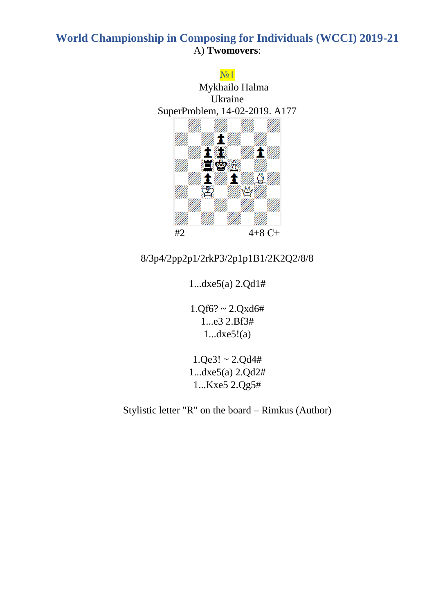



# 8/3p4/2pp2p1/2rkP3/2p1p1B1/2K2Q2/8/8

1...dxe5(a) 2.Qd1#

 $1.Qf6? \sim 2.Qxd6#$ 1...e3 2.Bf3# 1...dxe5!(a)

 $1.$ Qe3! ~  $2.$ Qd4# 1...dxe5(a) 2.Qd2# 1...Kxe5 2.Qg5#

Stylistic letter "R" on the board – Rimkus (Author)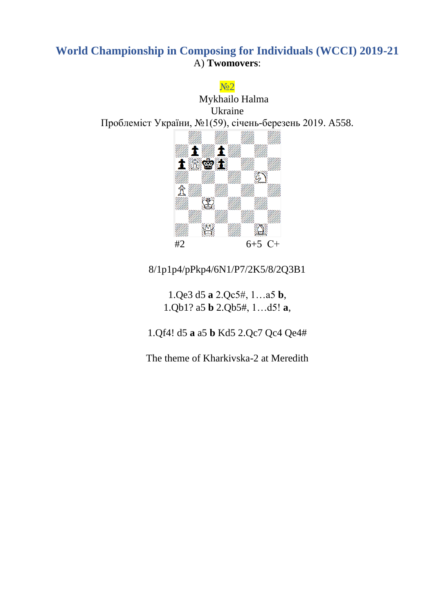No<sub>2</sub>

Mykhailo Halma Ukraine Проблеміст України, №1(59), січень-березень 2019. A558.



8/1p1p4/pPkp4/6N1/P7/2K5/8/2Q3B1

1.Qe3 d5 **a** 2.Qc5#, 1…a5 **b**, 1.Qb1? a5 **b** 2.Qb5#, 1…d5! **a**,

1.Qf4! d5 **a** a5 **b** Kd5 2.Qc7 Qc4 Qe4#

The theme of Kharkivska-2 at Meredith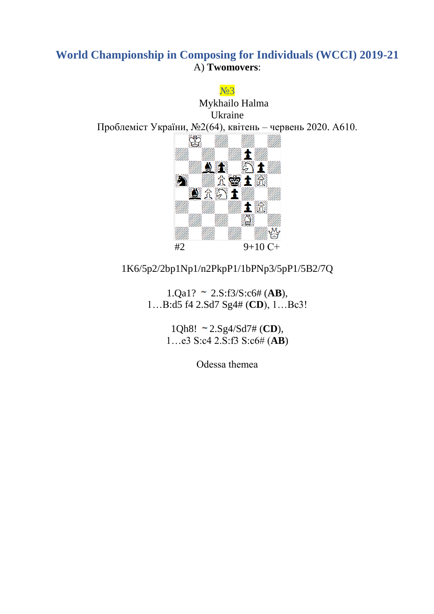#### No<sub>2</sub>



#### 1K6/5p2/2bp1Np1/n2PkpP1/1bPNp3/5pP1/5B2/7Q

 $1.$ Qa1? ~  $2.$ S:f3/S:c6# (**AB**), 1…B:d5 f4 2.Sd7 Sg4# (**CD**), 1…Bc3!

> 1Qh8! 2.Sg4/Sd7# (**CD**), 1…e3 S:c4 2.S:f3 S:c6# (**AB**)

> > Odessa themeа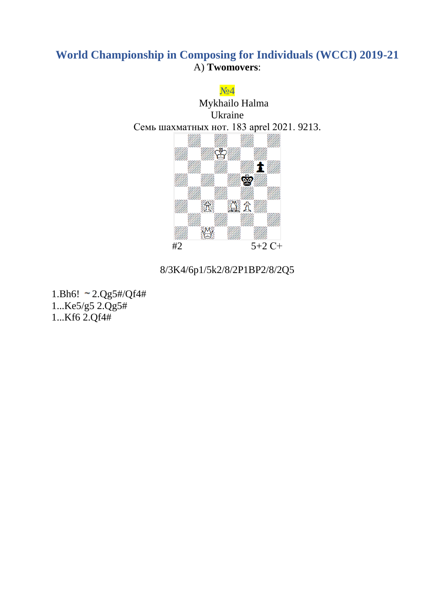

# 8/3K4/6p1/5k2/8/2P1BP2/8/2Q5

1.Bh6!  $\sim 2.Qg5\#/Qf4\#$ 1...Ke5/g5 2.Qg5# 1...Kf6 2.Qf4#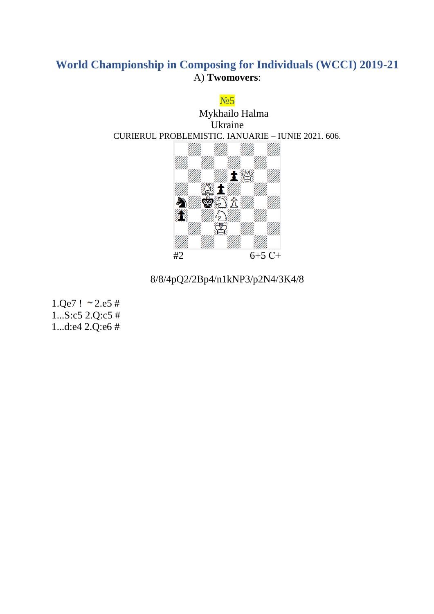

8/8/4pQ2/2Bp4/n1kNP3/p2N4/3K4/8

 $1.Qe7$  !  $\sim$  2.e5 #  $1...S: c5$  2.Q: $c5$ # 1...d:e4  $2.Q$ :e6 #